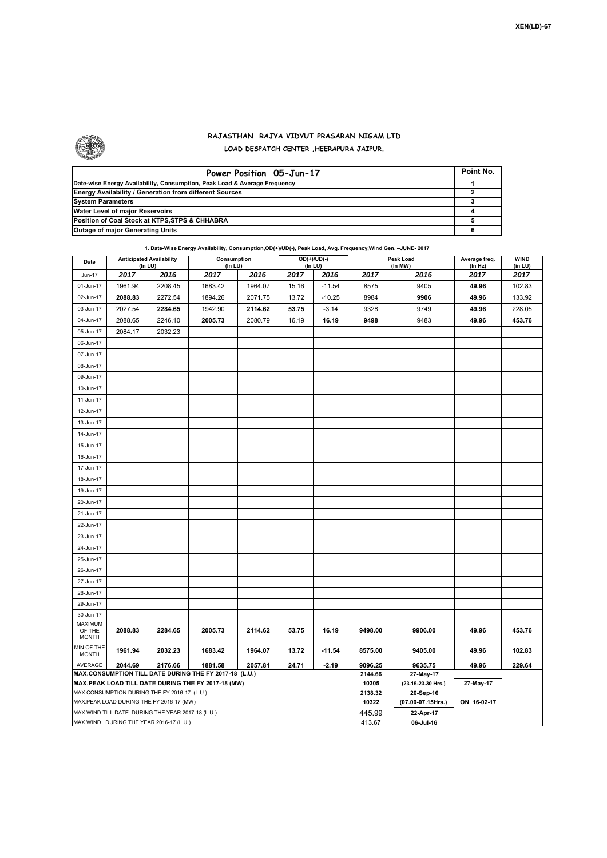

## **RAJASTHAN RAJYA VIDYUT PRASARAN NIGAM LTD LOAD DESPATCH CENTER ,HEERAPURA JAIPUR.**

| Power Position 05-Jun-17                                                  | Point No. |
|---------------------------------------------------------------------------|-----------|
| Date-wise Energy Availability, Consumption, Peak Load & Average Frequency |           |
| <b>Energy Availability / Generation from different Sources</b>            |           |
| <b>System Parameters</b>                                                  |           |
| Water Level of major Reservoirs                                           |           |
| Position of Coal Stock at KTPS, STPS & CHHABRA                            |           |
| <b>Outage of major Generating Units</b>                                   |           |

## **1. Date-Wise Energy Availability, Consumption,OD(+)/UD(-), Peak Load, Avg. Frequency,Wind Gen. –JUNE- 2017**

| Date                                                                                          | <b>Anticipated Availability</b><br>(In LU)   |         | Consumption<br>(In LU)                                 |         |       | OD(+)/UD(-)<br>(In LU) |                  | Peak Load<br>(In MW)   | Average freq.<br>(ln Hz) | WIND<br>(in LU) |
|-----------------------------------------------------------------------------------------------|----------------------------------------------|---------|--------------------------------------------------------|---------|-------|------------------------|------------------|------------------------|--------------------------|-----------------|
| <b>Jun-17</b>                                                                                 | 2017                                         | 2016    | 2017                                                   | 2016    | 2017  | 2016                   | 2017             | 2016                   | 2017                     | 2017            |
| 01-Jun-17                                                                                     | 1961.94                                      | 2208.45 | 1683.42                                                | 1964.07 | 15.16 | $-11.54$               | 8575             | 9405                   | 49.96                    | 102.83          |
| 02-Jun-17                                                                                     | 2088.83                                      | 2272.54 | 1894.26                                                | 2071.75 | 13.72 | $-10.25$               | 8984             | 9906                   | 49.96                    | 133.92          |
| 03-Jun-17                                                                                     | 2027.54                                      | 2284.65 | 1942.90                                                | 2114.62 | 53.75 | $-3.14$                | 9328             | 9749                   | 49.96                    | 228.05          |
| 04-Jun-17                                                                                     | 2088.65                                      | 2246.10 | 2005.73                                                | 2080.79 | 16.19 | 16.19                  | 9498             | 9483                   | 49.96                    | 453.76          |
| 05-Jun-17                                                                                     | 2084.17                                      | 2032.23 |                                                        |         |       |                        |                  |                        |                          |                 |
| 06-Jun-17                                                                                     |                                              |         |                                                        |         |       |                        |                  |                        |                          |                 |
| 07-Jun-17                                                                                     |                                              |         |                                                        |         |       |                        |                  |                        |                          |                 |
| 08-Jun-17                                                                                     |                                              |         |                                                        |         |       |                        |                  |                        |                          |                 |
| 09-Jun-17                                                                                     |                                              |         |                                                        |         |       |                        |                  |                        |                          |                 |
| 10-Jun-17                                                                                     |                                              |         |                                                        |         |       |                        |                  |                        |                          |                 |
| 11-Jun-17                                                                                     |                                              |         |                                                        |         |       |                        |                  |                        |                          |                 |
| 12-Jun-17                                                                                     |                                              |         |                                                        |         |       |                        |                  |                        |                          |                 |
| 13-Jun-17                                                                                     |                                              |         |                                                        |         |       |                        |                  |                        |                          |                 |
| 14-Jun-17                                                                                     |                                              |         |                                                        |         |       |                        |                  |                        |                          |                 |
| 15-Jun-17                                                                                     |                                              |         |                                                        |         |       |                        |                  |                        |                          |                 |
| 16-Jun-17                                                                                     |                                              |         |                                                        |         |       |                        |                  |                        |                          |                 |
| 17-Jun-17                                                                                     |                                              |         |                                                        |         |       |                        |                  |                        |                          |                 |
| 18-Jun-17                                                                                     |                                              |         |                                                        |         |       |                        |                  |                        |                          |                 |
| 19-Jun-17                                                                                     |                                              |         |                                                        |         |       |                        |                  |                        |                          |                 |
| 20-Jun-17                                                                                     |                                              |         |                                                        |         |       |                        |                  |                        |                          |                 |
| 21-Jun-17                                                                                     |                                              |         |                                                        |         |       |                        |                  |                        |                          |                 |
| 22-Jun-17                                                                                     |                                              |         |                                                        |         |       |                        |                  |                        |                          |                 |
| 23-Jun-17                                                                                     |                                              |         |                                                        |         |       |                        |                  |                        |                          |                 |
| 24-Jun-17                                                                                     |                                              |         |                                                        |         |       |                        |                  |                        |                          |                 |
| 25-Jun-17                                                                                     |                                              |         |                                                        |         |       |                        |                  |                        |                          |                 |
| 26-Jun-17                                                                                     |                                              |         |                                                        |         |       |                        |                  |                        |                          |                 |
| 27-Jun-17                                                                                     |                                              |         |                                                        |         |       |                        |                  |                        |                          |                 |
| 28-Jun-17                                                                                     |                                              |         |                                                        |         |       |                        |                  |                        |                          |                 |
| 29-Jun-17                                                                                     |                                              |         |                                                        |         |       |                        |                  |                        |                          |                 |
| 30-Jun-17                                                                                     |                                              |         |                                                        |         |       |                        |                  |                        |                          |                 |
| <b>MAXIMUM</b><br>OF THE                                                                      | 2088.83                                      | 2284.65 | 2005.73                                                | 2114.62 | 53.75 | 16.19                  | 9498.00          | 9906.00                | 49.96                    | 453.76          |
| <b>MONTH</b>                                                                                  |                                              |         |                                                        |         |       |                        |                  |                        |                          |                 |
| MIN OF THE<br><b>MONTH</b>                                                                    | 1961.94                                      | 2032.23 | 1683.42                                                | 1964.07 | 13.72 | $-11.54$               | 8575.00          | 9405.00                | 49.96                    | 102.83          |
| AVERAGE                                                                                       | 2044.69                                      | 2176.66 | 1881.58                                                | 2057.81 | 24.71 | $-2.19$                | 9096.25          | 9635.75                | 49.96                    | 229.64          |
|                                                                                               |                                              |         | MAX.CONSUMPTION TILL DATE DURING THE FY 2017-18 (L.U.) |         |       |                        | 2144.66          | 27-May-17              |                          |                 |
|                                                                                               |                                              |         | MAX.PEAK LOAD TILL DATE DURING THE FY 2017-18 (MW)     |         |       |                        | 10305            | (23.15-23.30 Hrs.)     | 27-May-17                |                 |
|                                                                                               | MAX.CONSUMPTION DURING THE FY 2016-17 (L.U.) |         |                                                        |         |       |                        | 2138.32          | 20-Sep-16              |                          |                 |
| MAX.PEAK LOAD DURING THE FY 2016-17 (MW)<br>MAX.WIND TILL DATE DURING THE YEAR 2017-18 (L.U.) |                                              |         |                                                        |         |       |                        | 10322            | (07.00-07.15Hrs.)      | ON 16-02-17              |                 |
|                                                                                               | MAX.WIND DURING THE YEAR 2016-17 (L.U.)      |         |                                                        |         |       |                        | 445.99<br>413.67 | 22-Apr-17<br>06-Jul-16 |                          |                 |
|                                                                                               |                                              |         |                                                        |         |       |                        |                  |                        |                          |                 |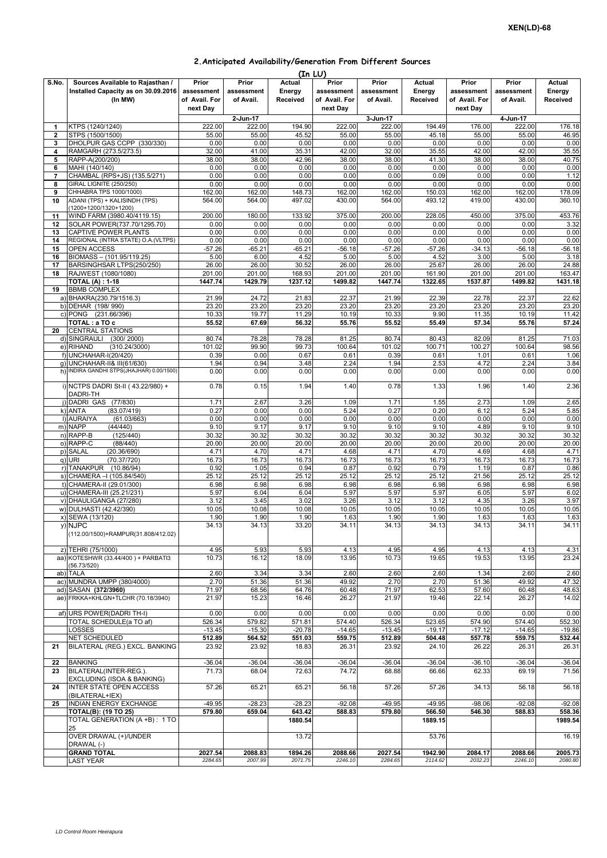| 2. Anticipated Availability/Generation From Different Sources |  |  |
|---------------------------------------------------------------|--|--|
|---------------------------------------------------------------|--|--|

|              |                                           |               |             | (In LU)       |               |            |          |               |            |                 |
|--------------|-------------------------------------------|---------------|-------------|---------------|---------------|------------|----------|---------------|------------|-----------------|
| S.No.        | Sources Available to Rajasthan /          | Prior         | Prior       | <b>Actual</b> | Prior         | Prior      | Actual   | Prior         | Prior      | Actual          |
|              | Installed Capacity as on 30.09.2016       | assessment    | assessment  | Energy        | assessment    | assessment | Energy   | assessment    | assessment | Energy          |
|              | (In MW)                                   | of Avail. For | of Avail.   | Received      | of Avail. For | of Avail.  | Received | of Avail. For | of Avail.  | <b>Received</b> |
|              |                                           | next Dav      |             |               | next Day      |            |          | next Day      |            |                 |
|              |                                           |               | $2$ -Jun-17 |               |               | 3-Jun-17   |          |               | 4-Jun-17   |                 |
| 1            | KTPS (1240/1240)                          | 222.00        | 222.00      | 194.90        | 222.00        | 222.00     | 194.49   | 176.00        | 222.00     | 176.18          |
| $\mathbf{2}$ | STPS (1500/1500)                          | 55.00         | 55.00       | 45.52         | 55.00         | 55.00      | 45.18    | 55.00         | 55.00      | 46.95           |
| 3            | DHOLPUR GAS CCPP (330/330)                | 0.00          | 0.00        | 0.00          | 0.00          | 0.00       | 0.00     | 0.00          | 0.00       | 0.00            |
| 4            | RAMGARH (273.5/273.5)                     | 32.00         | 41.00       | 35.31         | 42.00         | 32.00      | 35.55    | 42.00         | 42.00      | 35.55           |
| 5            | RAPP-A(200/200)                           | 38.00         | 38.00       | 42.96         | 38.00         | 38.00      | 41.30    | 38.00         | 38.00      | 40.75           |
| 6            | MAHI (140/140)                            | 0.00          | 0.00        | 0.00          | 0.00          | 0.00       | 0.00     | 0.00          | 0.00       | 0.00            |
| 7            | CHAMBAL (RPS+JS) (135.5/271)              | 0.00          | 0.00        | 0.00          | 0.00          | 0.00       | 0.09     | 0.00          | 0.00       | 1.12            |
| 8            | GIRAL LIGNITE (250/250)                   | 0.00          | 0.00        | 0.00          | 0.00          | 0.00       | 0.00     | 0.00          | 0.00       | 0.00            |
| 9            | CHHABRA TPS 1000/1000)                    | 162.00        | 162.00      | 148.73        | 162.00        | 162.00     | 150.03   | 162.00        | 162.00     | 178.09          |
| 10           | ADANI (TPS) + KALISINDH (TPS)             | 564.00        | 564.00      | 497.02        | 430.00        | 564.00     | 493.12   | 419.00        | 430.00     | 360.10          |
|              | (1200+1200/1320+1200)                     |               |             |               |               |            |          |               |            |                 |
| 11           | WIND FARM (3980.40/4119.15)               | 200.00        | 180.00      | 133.92        | 375.00        | 200.00     | 228.05   | 450.00        | 375.00     | 453.76          |
| 12           | SOLAR POWER(737.70/1295.70)               | 0.00          | 0.00        | 0.00          | 0.00          | 0.00       | 0.00     | 0.00          | 0.00       | 3.32            |
| 13           | CAPTIVE POWER PLANTS                      | 0.00          | 0.00        | 0.00          | 0.00          | 0.00       | 0.00     | 0.00          | 0.00       | 0.00            |
| 14           | REGIONAL (INTRA STATE) O.A. (VLTPS)       | 0.00          | 0.00        | 0.00          | 0.00          | 0.00       | 0.00     | 0.00          | 0.00       | 0.00            |
|              |                                           |               |             |               |               |            |          |               |            |                 |
| 15           | OPEN ACCESS                               | $-57.26$      | $-65.21$    | -65.21        | -56.18        | -57.26     | $-57.26$ | -34.13        | -56.18     | $-56.18$        |
| 16           | BIOMASS - (101.95/119.25)                 | 5.00          | 6.00        | 4.52          | 5.00          | 5.00       | 4.52     | 3.00          | 5.00       | 3.18            |
| 17           | BARSINGHSAR LTPS(250/250)                 | 26.00         | 26.00       | 30.52         | 26.00         | 26.00      | 25.67    | 26.00         | 26.00      | 24.88           |
| 18           | RAJWEST (1080/1080)                       | 201.00        | 201.00      | 168.93        | 201.00        | 201.00     | 161.90   | 201.00        | 201.00     | 163.47          |
|              | <b>TOTAL (A): 1-18</b>                    | 1447.74       | 1429.79     | 1237.12       | 1499.82       | 1447.74    | 1322.65  | 1537.87       | 1499.82    | 1431.18         |
| 19           | <b>BBMB COMPLEX</b>                       |               |             |               |               |            |          |               |            |                 |
|              | a) BHAKRA(230.79/1516.3)                  | 21.99         | 24.72       | 21.83         | 22.37         | 21.99      | 22.39    | 22.78         | 22.37      | 22.62           |
|              | b) DEHAR (198/990)                        | 23.20         | 23.20       | 23.20         | 23.20         | 23.20      | 23.20    | 23.20         | 23.20      | 23.20           |
|              | c) PONG (231.66/396)                      | 10.33         | 19.77       | 11.29         | 10.19         | 10.33      | 9.90     | 11.35         | 10.19      | 11.42           |
|              | TOTAL : a TO c                            | 55.52         | 67.69       | 56.32         | 55.76         | 55.52      | 55.49    | 57.34         | 55.76      | 57.24           |
| 20           | <b>CENTRAL STATIONS</b>                   |               |             |               |               |            |          |               |            |                 |
|              | $(300/\overline{2000})$<br>d) SINGRAULI   | 80.74         | 78.28       | 78.28         | 81.25         | 80.74      | 80.43    | 82.09         | 81.25      | 71.03           |
|              | e) RIHAND<br>(310.24/3000)                | 101.02        | 99.90       | 99.73         | 100.64        | 101.02     | 100.71   | 100.27        | 100.64     | 98.56           |
|              | f) UNCHAHAR-I(20/420)                     | 0.39          | 0.00        | 0.67          | 0.61          | 0.39       | 0.61     | 1.01          | 0.61       | 1.06            |
|              | g) UNCHAHAR-II& III(61/630)               | 1.94          | 0.94        | 3.48          | 2.24          | 1.94       | 2.53     | 4.72          | 2.24       | 3.84            |
|              | h) INDIRA GANDHI STPS(JHAJHAR) 0.00/1500) | 0.00          | 0.00        | 0.00          | 0.00          | 0.00       | 0.00     | 0.00          | 0.00       | 0.00            |
|              |                                           |               |             |               |               |            |          |               |            |                 |
|              | i) NCTPS DADRI St-II (43.22/980) +        | 0.78          | 0.15        | 1.94          | 1.40          | 0.78       | 1.33     | 1.96          | 1.40       | 2.36            |
|              | DADRI-TH                                  |               |             |               |               |            |          |               |            |                 |
|              | DADRI GAS (77/830)                        | 1.71          | 2.67        | 3.26          | 1.09          | 1.71       | 1.55     | 2.73          | 1.09       | 2.65            |
|              | k) ANTA<br>(83.07/419)                    | 0.27          | 0.00        | 0.00          | 5.24          | 0.27       | 0.20     | 6.12          | 5.24       | 5.85            |
|              | I) AURAIYA<br>(61.03/663)                 | 0.00          | 0.00        | 0.00          | 0.00          | 0.00       | 0.00     | 0.00          | 0.00       | 0.00            |
|              | m) NAPP<br>(44/440)                       | 9.10          | 9.17        | 9.17          | 9.10          | 9.10       | 9.10     | 4.89          | 9.10       | 9.10            |
|              | n) RAPP-B<br>(125/440)                    | 30.32         | 30.32       | 30.32         | 30.32         | 30.32      | 30.32    | 30.32         | 30.32      | 30.32           |
|              | o) RAPP-C<br>(88/440)                     | 20.00         | 20.00       | 20.00         | 20.00         | 20.00      | 20.00    | 20.00         | 20.00      | 20.00           |
|              | p) SALAL<br>(20.36/690)                   | 4.71          | 4.70        | 4.71          | 4.68          | 4.71       | 4.70     | 4.69          | 4.68       | 4.71            |
|              | q) URI<br>(70.37/720)                     | 16.73         | 16.73       | 16.73         | 16.73         | 16.73      | 16.73    | 16.73         | 16.73      | 16.73           |
|              | r) TANAKPUR (10.86/94)                    | 0.92          | 1.05        | 0.94          | 0.87          | 0.92       | 0.79     | 1.19          | 0.87       | 0.86            |
|              | s) CHAMERA - (105.84/540)                 | 25.12         | 25.12       | 25.12         | 25.12         | 25.12      | 25.12    | 21.56         | 25.12      | 25.12           |
|              | t) CHAMERA-II (29.01/300)                 | 6.98          | 6.98        | 6.98          | 6.98          | 6.98       | 6.98     | 6.98          | 6.98       | 6.98            |
|              | u) CHAMERA-III (25.21/231)                | 5.97          | 6.04        | 6.04          | 5.97          | 5.97       | 5.97     | 6.05          | 5.97       | 6.02            |
|              | v) DHAULIGANGA (27/280)                   | 3.12          | 3.45        | 3.02          | 3.26          | 3.12       | 3.12     | 4.35          | 3.26       | 3.97            |
|              | w) DULHASTI (42.42/390)                   | 10.05         | 10.08       | 10.08         | 10.05         | 10.05      | 10.05    | 10.05         | 10.05      | 10.05           |
|              | x) SEWA (13/120)                          | 1.90          | 1.90        | 1.90          | 1.63          | 1.90       | 1.90     | 1.63          | 1.63       | 1.63            |
|              | y) NJPC                                   | 34.13         | 34.13       | 33.20         | 34.11         | 34.13      | 34.13    | 34.13         | 34.11      | 34.11           |
|              | (112.00/1500)+RAMPUR(31.808/412.02)       |               |             |               |               |            |          |               |            |                 |
|              |                                           |               |             |               |               |            |          |               |            |                 |
|              | z) TEHRI (75/1000)                        | 4.95          | 5.93        | 5.93          | 4.13          | 4.95       | 4.95     | 4.13          | 4.13       | 4.31            |
|              | aa) KOTESHWR (33.44/400) + PARBATI3       | 10.73         | 16.12       | 18.09         | 13.95         | 10.73      | 19.65    | 19.53         | 13.95      | 23.24           |
|              | (56.73/520)                               |               |             |               |               |            |          |               |            |                 |
|              | ab) TALA                                  | 2.60          | 3.34        | 3.34          | 2.60          | 2.60       | 2.60     | 1.34          | 2.60       | 2.60            |
|              | ac) MUNDRA UMPP (380/4000)                | 2.70          | 51.36       | 51.36         | 49.92         | 2.70       | 2.70     | 51.36         | 49.92      | 47.32           |
|              | ad) SASAN (372/3960)                      | 71.97         | 68.56       | 64.76         | 60.48         | 71.97      | 62.53    | 57.60         | 60.48      | 48.63           |
|              | ae) FRKKA+KHLGN+TLCHR (70.18/3940)        | 21.97         | 15.23       | 16.46         | 26.27         | 21.97      | 19.46    | 22.14         | 26.27      | 14.02           |
|              |                                           |               |             |               |               |            |          |               |            |                 |
|              | af) URS POWER(DADRI TH-I)                 | 0.00          | 0.00        | 0.00          | 0.00          | 0.00       | 0.00     | 0.00          | 0.00       | 0.00            |
|              | TOTAL SCHEDULE(a TO af)                   | 526.34        | 579.82      | 571.81        | 574.40        | 526.34     | 523.65   | 574.90        | 574.40     | 552.30          |
|              | LOSSES                                    | $-13.45$      | $-15.30$    | $-20.78$      | $-14.65$      | $-13.45$   | $-19.17$ | $-17.12$      | $-14.65$   | $-19.86$        |
|              | NET SCHEDULED                             | 512.89        | 564.52      | 551.03        | 559.75        | 512.89     | 504.48   | 557.78        | 559.75     | 532.44          |
| 21           | BILATERAL (REG.) EXCL. BANKING            | 23.92         | 23.92       | 18.83         | 26.31         | 23.92      | 24.10    | 26.22         | 26.31      | 26.31           |
|              |                                           |               |             |               |               |            |          |               |            |                 |
| 22           | <b>BANKING</b>                            | $-36.04$      | $-36.04$    | $-36.04$      | $-36.04$      | $-36.04$   | $-36.04$ | $-36.10$      | $-36.04$   | $-36.04$        |
| 23           | BILATERAL(INTER-REG.).                    | 71.73         | 68.04       | 72.63         | 74.72         | 68.88      | 66.66    | 62.33         | 69.19      | 71.56           |
|              | EXCLUDING (ISOA & BANKING)                |               |             |               |               |            |          |               |            |                 |
| 24           | INTER STATE OPEN ACCESS                   | 57.26         | 65.21       | 65.21         | 56.18         | 57.26      | 57.26    | 34.13         | 56.18      | 56.18           |
|              | (BILATERAL+IEX)                           |               |             |               |               |            |          |               |            |                 |
| 25           | INDIAN ENERGY EXCHANGE                    | $-49.95$      | $-28.23$    | $-28.23$      | $-92.08$      | $-49.95$   | $-49.95$ | $-98.06$      | $-92.08$   | $-92.08$        |
|              | <b>TOTAL(B): (19 TO 25)</b>               | 579.80        | 659.04      | 643.42        | 588.83        | 579.80     | 566.50   | 546.30        | 588.83     | 558.36          |
|              | TOTAL GENERATION (A +B) : 1 TO            |               |             | 1880.54       |               |            | 1889.15  |               |            | 1989.54         |
|              | 25                                        |               |             |               |               |            |          |               |            |                 |
|              | OVER DRAWAL (+)/UNDER                     |               |             | 13.72         |               |            | 53.76    |               |            | 16.19           |
|              | DRAWAL (-)                                |               |             |               |               |            |          |               |            |                 |
|              | <b>GRAND TOTAL</b>                        | 2027.54       | 2088.83     | 1894.26       | 2088.66       | 2027.54    | 1942.90  | 2084.17       | 2088.66    | 2005.73         |
|              | LAST YEAR                                 | 2284.65       | 2007.99     | 2071.75       | 2246.10       | 2284.65    | 2114.62  | 2032.23       | 2246.10    | 2080.80         |